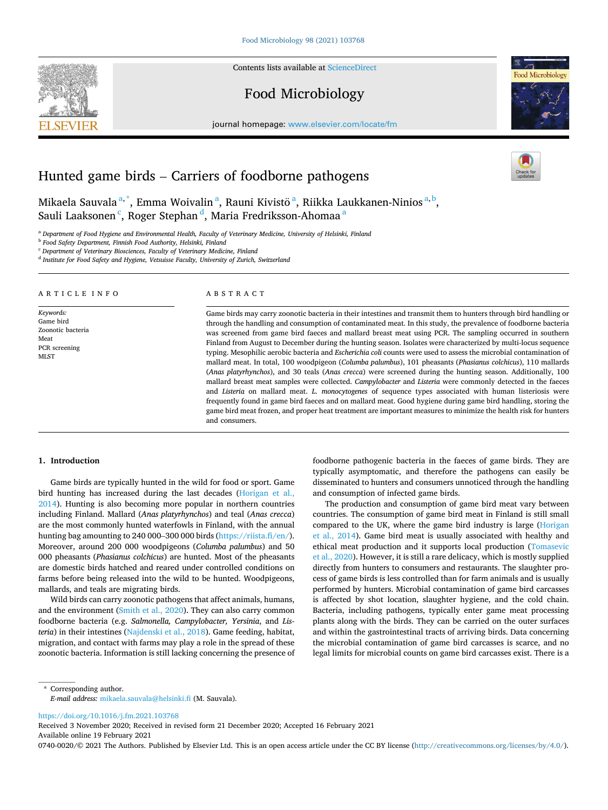Contents lists available at ScienceDirect

# Food Microbiology

journal homepage: www.elsevier.com/locate/fm

# Hunted game birds – Carriers of foodborne pathogens

Mikaela Sauvala $^{\mathrm{a},\mathrm{*}}$ , Emma Woivalin $^{\mathrm{a}},$  Rauni Kivistö $^{\mathrm{a}},$  Riikka Laukkanen-Ninios $^{\mathrm{a},\mathrm{b}},$ Sauli Laaksonen  $\lq$ , Roger Stephan  $\lq$ , Maria Fredriksson-Ahomaa  $\lq$ 

<sup>a</sup> *Department of Food Hygiene and Environmental Health, Faculty of Veterinary Medicine, University of Helsinki, Finland* 

<sup>b</sup> *Food Safety Department, Finnish Food Authority, Helsinki, Finland* 

<sup>c</sup> *Department of Veterinary Biosciences, Faculty of Veterinary Medicine, Finland* 

<sup>d</sup> *Institute for Food Safety and Hygiene, Vetsuisse Faculty, University of Zurich, Switzerland* 

# ARTICLE INFO

*Keywords:*  Game bird Zoonotic bacteria Meat PCR screening ML<sub>ST</sub>

### ABSTRACT

Game birds may carry zoonotic bacteria in their intestines and transmit them to hunters through bird handling or through the handling and consumption of contaminated meat. In this study, the prevalence of foodborne bacteria was screened from game bird faeces and mallard breast meat using PCR. The sampling occurred in southern Finland from August to December during the hunting season. Isolates were characterized by multi-locus sequence typing. Mesophilic aerobic bacteria and *Escherichia coli* counts were used to assess the microbial contamination of mallard meat. In total, 100 woodpigeon (*Columba palumbus*), 101 pheasants (*Phasianus colchicus*), 110 mallards (*Anas platyrhynchos*), and 30 teals (*Anas crecca*) were screened during the hunting season. Additionally, 100 mallard breast meat samples were collected. *Campylobacter* and *Listeria* were commonly detected in the faeces and *Listeria* on mallard meat. *L. monocytogenes* of sequence types associated with human listeriosis were frequently found in game bird faeces and on mallard meat. Good hygiene during game bird handling, storing the game bird meat frozen, and proper heat treatment are important measures to minimize the health risk for hunters and consumers.

# **1. Introduction**

Game birds are typically hunted in the wild for food or sport. Game bird hunting has increased during the last decades (Horigan et al., 2014). Hunting is also becoming more popular in northern countries including Finland. Mallard (*Anas platyrhynchos*) and teal (*Anas crecca*) are the most commonly hunted waterfowls in Finland, with the annual hunting bag amounting to 240 000–300 000 birds (https://riista.fi/en/). Moreover, around 200 000 woodpigeons (*Columba palumbus*) and 50 000 pheasants (*Phasianus colchicus*) are hunted. Most of the pheasants are domestic birds hatched and reared under controlled conditions on farms before being released into the wild to be hunted. Woodpigeons, mallards, and teals are migrating birds.

Wild birds can carry zoonotic pathogens that affect animals, humans, and the environment (Smith et al., 2020). They can also carry common foodborne bacteria (e.g. *Salmonella, Campylobacter, Yersinia*, and *Listeria*) in their intestines (Najdenski et al., 2018). Game feeding, habitat, migration, and contact with farms may play a role in the spread of these zoonotic bacteria. Information is still lacking concerning the presence of foodborne pathogenic bacteria in the faeces of game birds. They are typically asymptomatic, and therefore the pathogens can easily be disseminated to hunters and consumers unnoticed through the handling and consumption of infected game birds.

The production and consumption of game bird meat vary between countries. The consumption of game bird meat in Finland is still small compared to the UK, where the game bird industry is large (Horigan et al., 2014). Game bird meat is usually associated with healthy and ethical meat production and it supports local production (Tomasevic et al., 2020). However, it is still a rare delicacy, which is mostly supplied directly from hunters to consumers and restaurants. The slaughter process of game birds is less controlled than for farm animals and is usually performed by hunters. Microbial contamination of game bird carcasses is affected by shot location, slaughter hygiene, and the cold chain. Bacteria, including pathogens, typically enter game meat processing plants along with the birds. They can be carried on the outer surfaces and within the gastrointestinal tracts of arriving birds. Data concerning the microbial contamination of game bird carcasses is scarce, and no legal limits for microbial counts on game bird carcasses exist. There is a

\* Corresponding author. *E-mail address:* mikaela.sauvala@helsinki.fi (M. Sauvala).

https://doi.org/10.1016/j.fm.2021.103768

Available online 19 February 2021 Received 3 November 2020; Received in revised form 21 December 2020; Accepted 16 February 2021

0740-0020/© 2021 The Authors. Published by Elsevier Ltd. This is an open access article under the CC BY license (http://creativecommons.org/licenses/by/4.0/).



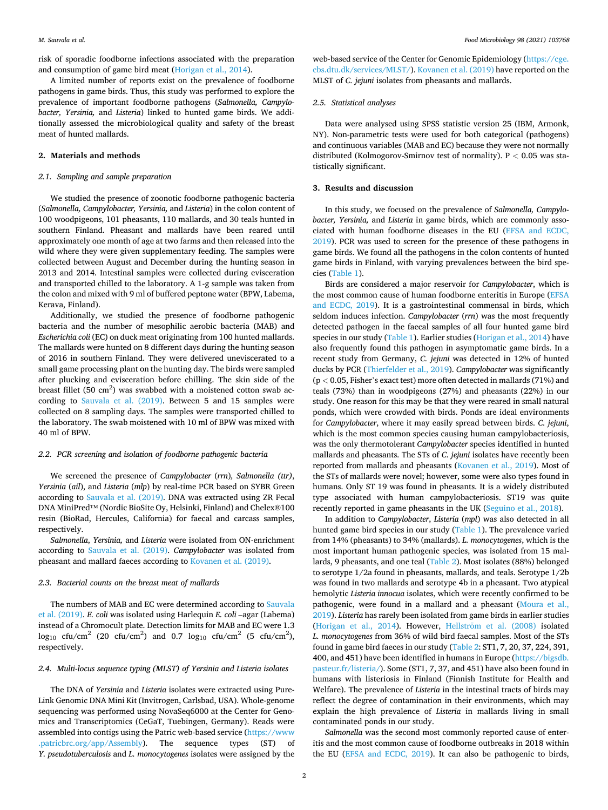risk of sporadic foodborne infections associated with the preparation and consumption of game bird meat (Horigan et al., 2014).

A limited number of reports exist on the prevalence of foodborne pathogens in game birds. Thus, this study was performed to explore the prevalence of important foodborne pathogens (*Salmonella, Campylobacter, Yersinia,* and *Listeria*) linked to hunted game birds. We additionally assessed the microbiological quality and safety of the breast meat of hunted mallards.

# **2. Materials and methods**

# *2.1. Sampling and sample preparation*

We studied the presence of zoonotic foodborne pathogenic bacteria (*Salmonella, Campylobacter, Yersinia,* and *Listeria*) in the colon content of 100 woodpigeons, 101 pheasants, 110 mallards, and 30 teals hunted in southern Finland. Pheasant and mallards have been reared until approximately one month of age at two farms and then released into the wild where they were given supplementary feeding. The samples were collected between August and December during the hunting season in 2013 and 2014. Intestinal samples were collected during evisceration and transported chilled to the laboratory. A 1-g sample was taken from the colon and mixed with 9 ml of buffered peptone water (BPW, Labema, Kerava, Finland).

Additionally, we studied the presence of foodborne pathogenic bacteria and the number of mesophilic aerobic bacteria (MAB) and *Escherichia coli* (EC) on duck meat originating from 100 hunted mallards. The mallards were hunted on 8 different days during the hunting season of 2016 in southern Finland. They were delivered uneviscerated to a small game processing plant on the hunting day. The birds were sampled after plucking and evisceration before chilling. The skin side of the breast fillet (50  $\text{cm}^2$ ) was swabbed with a moistened cotton swab according to Sauvala et al. (2019). Between 5 and 15 samples were collected on 8 sampling days. The samples were transported chilled to the laboratory. The swab moistened with 10 ml of BPW was mixed with 40 ml of BPW.

# *2.2. PCR screening and isolation of foodborne pathogenic bacteria*

We screened the presence of *Campylobacter* (*rrn*)*, Salmonella (ttr)*, *Yersinia* (*ail*), and *Listeria* (*mlp*) by real-time PCR based on SYBR Green according to Sauvala et al. (2019). DNA was extracted using ZR Fecal DNA MiniPred™ (Nordic BioSite Oy, Helsinki, Finland) and Chelex®100 resin (BioRad, Hercules, California) for faecal and carcass samples, respectively.

*Salmonella*, *Yersinia,* and *Listeria* were isolated from ON-enrichment according to Sauvala et al. (2019). *Campylobacter* was isolated from pheasant and mallard faeces according to Kovanen et al. (2019).

# *2.3. Bacterial counts on the breast meat of mallards*

The numbers of MAB and EC were determined according to Sauvala et al. (2019). *E. coli* was isolated using Harlequin *E. coli* –agar (Labema) instead of a Chromocult plate. Detection limits for MAB and EC were 1.3  $\log_{10}$  cfu/cm<sup>2</sup> (20 cfu/cm<sup>2</sup>) and 0.7  $\log_{10}$  cfu/cm<sup>2</sup> (5 cfu/cm<sup>2</sup>), respectively.

### *2.4. Multi-locus sequence typing (MLST) of Yersinia and Listeria isolates*

The DNA of *Yersinia* and *Listeria* isolates were extracted using Pure-Link Genomic DNA Mini Kit (Invitrogen, Carlsbad, USA). Whole-genome sequencing was performed using NovaSeq6000 at the Center for Genomics and Transcriptomics (CeGaT, Tuebingen, Germany). Reads were assembled into contigs using the Patric web-based service (https://www.patricbrc.org/app/Assembly). The sequence types (ST) of The sequence types (ST) of *Y. pseudotuberculosis* and *L. monocytogenes* isolates were assigned by the

web-based service of the Center for Genomic Epidemiology (https://cge. cbs.dtu.dk/services/MLST/). Kovanen et al. (2019) have reported on the MLST of *C. jejuni* isolates from pheasants and mallards.

# *2.5. Statistical analyses*

Data were analysed using SPSS statistic version 25 (IBM, Armonk, NY). Non-parametric tests were used for both categorical (pathogens) and continuous variables (MAB and EC) because they were not normally distributed (Kolmogorov-Smirnov test of normality). P *<* 0.05 was statistically significant.

# **3. Results and discussion**

In this study, we focused on the prevalence of *Salmonella, Campylobacter, Yersinia,* and *Listeria* in game birds, which are commonly associated with human foodborne diseases in the EU (EFSA and ECDC, 2019). PCR was used to screen for the presence of these pathogens in game birds. We found all the pathogens in the colon contents of hunted game birds in Finland, with varying prevalences between the bird species (Table 1).

Birds are considered a major reservoir for *Campylobacter*, which is the most common cause of human foodborne enteritis in Europe (EFSA and ECDC, 2019). It is a gastrointestinal commensal in birds, which seldom induces infection. *Campylobacter* (*rrn*) was the most frequently detected pathogen in the faecal samples of all four hunted game bird species in our study (Table 1). Earlier studies (Horigan et al., 2014) have also frequently found this pathogen in asymptomatic game birds. In a recent study from Germany, *C. jejuni* was detected in 12% of hunted ducks by PCR (Thierfelder et al., 2019). *Campylobacter* was significantly (p *<* 0.05, Fisher's exact test) more often detected in mallards (71%) and teals (73%) than in woodpigeons (27%) and pheasants (22%) in our study. One reason for this may be that they were reared in small natural ponds, which were crowded with birds. Ponds are ideal environments for *Campylobacter*, where it may easily spread between birds. *C. jejuni*, which is the most common species causing human campylobacteriosis, was the only thermotolerant *Campylobacter* species identified in hunted mallards and pheasants. The STs of *C. jejuni* isolates have recently been reported from mallards and pheasants (Kovanen et al., 2019). Most of the STs of mallards were novel; however, some were also types found in humans. Only ST 19 was found in pheasants. It is a widely distributed type associated with human campylobacteriosis. ST19 was quite recently reported in game pheasants in the UK (Seguino et al., 2018).

In addition to *Campylobacter*, *Listeria* (*mpl*) was also detected in all hunted game bird species in our study (Table 1). The prevalence varied from 14% (pheasants) to 34% (mallards). *L. monocytogenes*, which is the most important human pathogenic species, was isolated from 15 mallards, 9 pheasants, and one teal (Table 2). Most isolates (88%) belonged to serotype 1/2a found in pheasants, mallards, and teals. Serotype 1/2b was found in two mallards and serotype 4b in a pheasant. Two atypical hemolytic *Listeria innocua* isolates, which were recently confirmed to be pathogenic, were found in a mallard and a pheasant (Moura et al., 2019). *Listeria* has rarely been isolated from game birds in earlier studies (Horigan et al., 2014). However, Hellström et al. (2008) isolated *L. monocytogenes* from 36% of wild bird faecal samples. Most of the STs found in game bird faeces in our study (Table 2: ST1, 7, 20, 37, 224, 391, 400, and 451) have been identified in humans in Europe (https://bigsdb. pasteur.fr/listeria/). Some (ST1, 7, 37, and 451) have also been found in humans with listeriosis in Finland (Finnish Institute for Health and Welfare). The prevalence of *Listeria* in the intestinal tracts of birds may reflect the degree of contamination in their environments, which may explain the high prevalence of *Listeria* in mallards living in small contaminated ponds in our study.

*Salmonella* was the second most commonly reported cause of enteritis and the most common cause of foodborne outbreaks in 2018 within the EU (EFSA and ECDC, 2019). It can also be pathogenic to birds,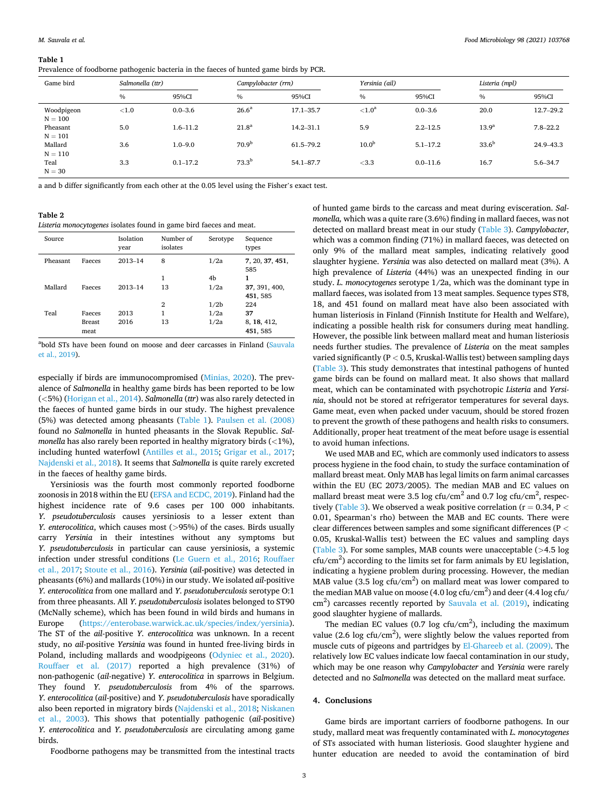#### **Table 1**

Prevalence of foodborne pathogenic bacteria in the faeces of hunted game birds by PCR.

| Game bird               | Salmonella (ttr) |              | Campylobacter (rrn) |               | Yersinia (ail)    |              | Listeria (mpl)    |               |
|-------------------------|------------------|--------------|---------------------|---------------|-------------------|--------------|-------------------|---------------|
|                         | $\%$             | 95%CI        | $\%$                | 95%CI         | $\%$              | 95%CI        | $\%$              | 95%CI         |
| Woodpigeon<br>$N = 100$ | ${<}1.0$         | $0.0 - 3.6$  | 26.6 <sup>a</sup>   | $17.1 - 35.7$ | ${<}1.0^a$        | $0.0 - 3.6$  | 20.0              | $12.7 - 29.2$ |
| Pheasant<br>$N = 101$   | 5.0              | $1.6 - 11.2$ | 21.8 <sup>a</sup>   | $14.2 - 31.1$ | 5.9               | $2.2 - 12.5$ | 13.9 <sup>a</sup> | $7.8 - 22.2$  |
| Mallard<br>$N = 110$    | 3.6              | $1.0 - 9.0$  | 70.9 <sup>b</sup>   | 61.5-79.2     | 10.0 <sup>b</sup> | $5.1 - 17.2$ | $33.6^{b}$        | 24.9-43.3     |
| Teal<br>$N = 30$        | 3.3              | $0.1 - 17.2$ | $73.3^{b}$          | $54.1 - 87.7$ | < 3.3             | $0.0 - 11.6$ | 16.7              | $5.6 - 34.7$  |

a and b differ significantly from each other at the 0.05 level using the Fisher's exact test.

**Table 2** 

*Listeria monocytogenes* isolates found in game bird faeces and meat.

| Source   |               | Isolation<br>year | Number of<br>isolates | Serotype         | Sequence<br>types      |
|----------|---------------|-------------------|-----------------------|------------------|------------------------|
| Pheasant | Faeces        | $2013 - 14$       | 8                     | 1/2a             | 7, 20, 37, 451,<br>585 |
|          |               |                   | 1                     | 4b               | 1                      |
| Mallard  | Faeces        | $2013 - 14$       | 13                    | 1/2a             | 37, 391, 400,          |
|          |               |                   |                       |                  | 451, 585               |
|          |               |                   | $\overline{2}$        | 1/2 <sub>b</sub> | 224                    |
| Teal     | Faeces        | 2013              | 1                     | 1/2a             | 37                     |
|          | <b>Breast</b> | 2016              | 13                    | 1/2a             | 8, 18, 412,            |
|          | meat          |                   |                       |                  | 451, 585               |

<sup>a</sup>bold STs have been found on moose and deer carcasses in Finland (Sauvala et al., 2019).

especially if birds are immunocompromised (Minias, 2020). The prevalence of *Salmonella* in healthy game birds has been reported to be low (*<*5%) (Horigan et al., 2014). *Salmonella* (*ttr*) was also rarely detected in the faeces of hunted game birds in our study. The highest prevalence (5%) was detected among pheasants (Table 1). Paulsen et al. (2008) found no *Salmonella* in hunted pheasants in the Slovak Republic. *Salmonella* has also rarely been reported in healthy migratory birds (*<*1%), including hunted waterfowl (Antilles et al., 2015; Grigar et al., 2017; Najdenski et al., 2018). It seems that *Salmonella* is quite rarely excreted in the faeces of healthy game birds.

Yersiniosis was the fourth most commonly reported foodborne zoonosis in 2018 within the EU (EFSA and ECDC, 2019). Finland had the highest incidence rate of 9.6 cases per 100 000 inhabitants. *Y. pseudotuberculosis* causes yersiniosis to a lesser extent than *Y. enterocolitica*, which causes most (*>*95%) of the cases. Birds usually carry *Yersinia* in their intestines without any symptoms but *Y. pseudotuberculosis* in particular can cause yersiniosis, a systemic infection under stressful conditions (Le Guern et al., 2016; Rouffaer et al., 2017; Stoute et al., 2016). *Yersinia* (*ail*-positive) was detected in pheasants (6%) and mallards (10%) in our study. We isolated *ail*-positive *Y. enterocolitica* from one mallard and *Y. pseudotuberculosis* serotype O:1 from three pheasants. All *Y. pseudotuberculosis* isolates belonged to ST90 (McNally scheme), which has been found in wild birds and humans in Europe (https://enterobase.warwick.ac.uk/species/index/yersinia). The ST of the *ail*-positive *Y. enterocolitica* was unknown. In a recent study, no *ail*-positive *Yersinia* was found in hunted free-living birds in Poland, including mallards and woodpigeons (Odyniec et al., 2020). Rouffaer et al. (2017) reported a high prevalence (31%) of non-pathogenic (*ail*-negative) *Y. enterocolitica* in sparrows in Belgium. They found *Y. pseudotuberculosis* from 4% of the sparrows. *Y. enterocolitica* (*ail*-positive) and *Y. pseudotuberculosis* have sporadically also been reported in migratory birds (Najdenski et al., 2018; Niskanen et al., 2003). This shows that potentially pathogenic (*ail*-positive) *Y. enterocolitica* and *Y. pseudotuberculosis* are circulating among game birds.

Foodborne pathogens may be transmitted from the intestinal tracts

of hunted game birds to the carcass and meat during evisceration. *Salmonella,* which was a quite rare (3.6%) finding in mallard faeces, was not detected on mallard breast meat in our study (Table 3). *Campylobacter*, which was a common finding (71%) in mallard faeces, was detected on only 9% of the mallard meat samples, indicating relatively good slaughter hygiene. *Yersinia* was also detected on mallard meat (3%). A high prevalence of *Listeria* (44%) was an unexpected finding in our study. *L. monocytogenes* serotype 1/2a, which was the dominant type in mallard faeces, was isolated from 13 meat samples. Sequence types ST8, 18, and 451 found on mallard meat have also been associated with human listeriosis in Finland (Finnish Institute for Health and Welfare), indicating a possible health risk for consumers during meat handling. However, the possible link between mallard meat and human listeriosis needs further studies. The prevalence of *Listeria* on the meat samples varied significantly (P *<* 0.5, Kruskal-Wallis test) between sampling days (Table 3). This study demonstrates that intestinal pathogens of hunted game birds can be found on mallard meat. It also shows that mallard meat, which can be contaminated with psychotropic *Listeria* and *Yersinia*, should not be stored at refrigerator temperatures for several days. Game meat, even when packed under vacuum, should be stored frozen to prevent the growth of these pathogens and health risks to consumers. Additionally, proper heat treatment of the meat before usage is essential to avoid human infections.

We used MAB and EC, which are commonly used indicators to assess process hygiene in the food chain, to study the surface contamination of mallard breast meat. Only MAB has legal limits on farm animal carcasses within the EU (EC 2073/2005). The median MAB and EC values on mallard breast meat were 3.5 log cfu/cm<sup>2</sup> and 0.7 log cfu/cm<sup>2</sup>, respectively (Table 3). We observed a weak positive correlation (r = 0.34, P *<* 0.01, Spearman's rho) between the MAB and EC counts. There were clear differences between samples and some significant differences (P *<* 0.05, Kruskal-Wallis test) between the EC values and sampling days (Table 3). For some samples, MAB counts were unacceptable (*>*4.5 log  $ctu/cm<sup>2</sup>$ ) according to the limits set for farm animals by EU legislation, indicating a hygiene problem during processing. However, the median MAB value (3.5 log cfu/cm<sup>2</sup>) on mallard meat was lower compared to the median MAB value on moose (4.0 log cfu/cm<sup>2</sup>) and deer (4.4 log cfu/ cm<sup>2</sup>) carcasses recently reported by Sauvala et al. (2019), indicating good slaughter hygiene of mallards.

The median EC values (0.7 log cfu/cm<sup>2</sup>), including the maximum value (2.6 log cfu/cm<sup>2</sup>), were slightly below the values reported from muscle cuts of pigeons and partridges by El-Ghareeb et al. (2009). The relatively low EC values indicate low faecal contamination in our study, which may be one reason why *Campylobacter* and *Yersinia* were rarely detected and no *Salmonella* was detected on the mallard meat surface.

# **4. Conclusions**

Game birds are important carriers of foodborne pathogens. In our study, mallard meat was frequently contaminated with *L. monocytogenes*  of STs associated with human listeriosis. Good slaughter hygiene and hunter education are needed to avoid the contamination of bird